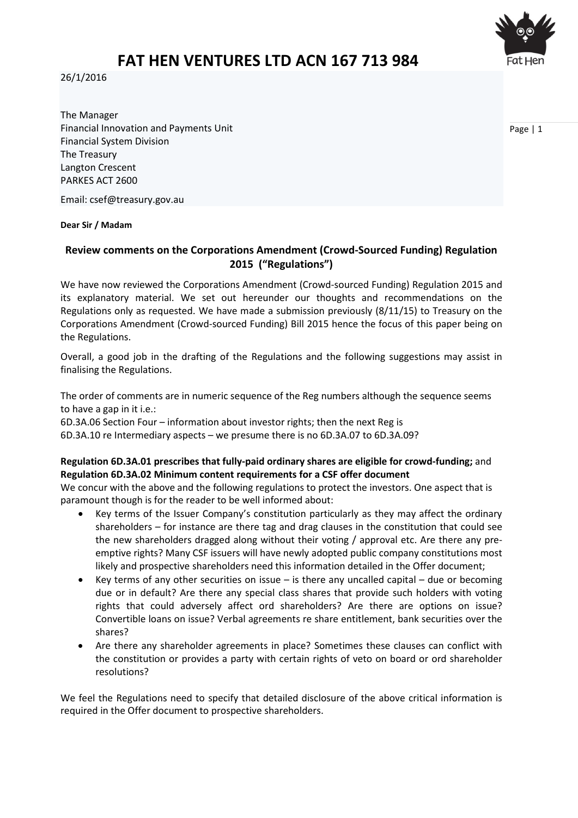

# **FAT HEN VENTURES LTD ACN 167 713 984**

26/1/2016

The Manager Financial Innovation and Payments Unit Financial System Division The Treasury Langton Crescent PARKES ACT 2600

Email: [csef@treasury.gov.au](mailto:csef@treasury.gov.au?subject=Submission%20to%20the%20Crowd-sourced%20equity%20funding%20consultation)

#### **Dear Sir / Madam**

## **Review comments on the Corporations Amendment (Crowd-Sourced Funding) Regulation 2015 ("Regulations")**

We have now reviewed the Corporations Amendment (Crowd-sourced Funding) Regulation 2015 and its explanatory material. We set out hereunder our thoughts and recommendations on the Regulations only as requested. We have made a submission previously (8/11/15) to Treasury on the Corporations Amendment (Crowd-sourced Funding) Bill 2015 hence the focus of this paper being on the Regulations.

Overall, a good job in the drafting of the Regulations and the following suggestions may assist in finalising the Regulations.

The order of comments are in numeric sequence of the Reg numbers although the sequence seems to have a gap in it i.e.:

6D.3A.06 Section Four – information about investor rights; then the next Reg is 6D.3A.10 re Intermediary aspects – we presume there is no 6D.3A.07 to 6D.3A.09?

## **Regulation 6D.3A.01 prescribes that fully-paid ordinary shares are eligible for crowd-funding;** and **Regulation 6D.3A.02 Minimum content requirements for a CSF offer document**

We concur with the above and the following regulations to protect the investors. One aspect that is paramount though is for the reader to be well informed about:

- Key terms of the Issuer Company's constitution particularly as they may affect the ordinary shareholders – for instance are there tag and drag clauses in the constitution that could see the new shareholders dragged along without their voting / approval etc. Are there any preemptive rights? Many CSF issuers will have newly adopted public company constitutions most likely and prospective shareholders need this information detailed in the Offer document;
- Key terms of any other securities on issue is there any uncalled capital due or becoming due or in default? Are there any special class shares that provide such holders with voting rights that could adversely affect ord shareholders? Are there are options on issue? Convertible loans on issue? Verbal agreements re share entitlement, bank securities over the shares?
- Are there any shareholder agreements in place? Sometimes these clauses can conflict with the constitution or provides a party with certain rights of veto on board or ord shareholder resolutions?

We feel the Regulations need to specify that detailed disclosure of the above critical information is required in the Offer document to prospective shareholders.

Page | 1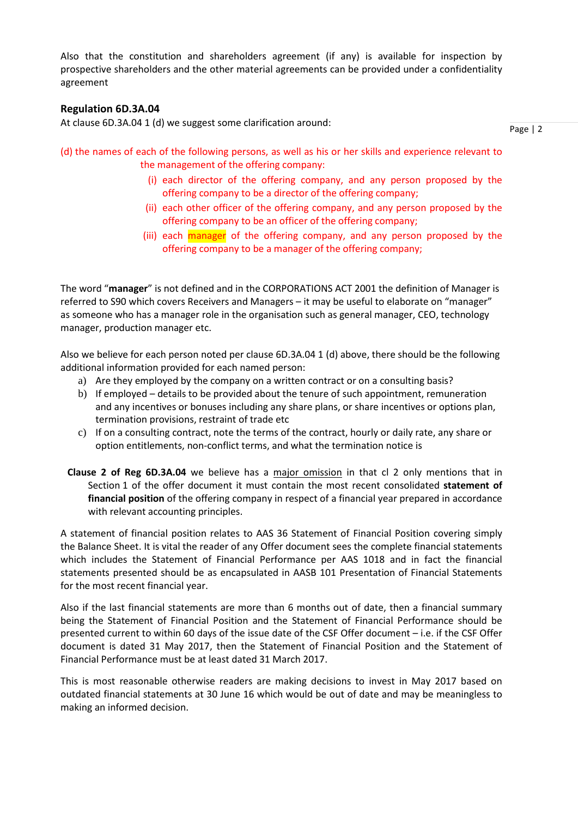Also that the constitution and shareholders agreement (if any) is available for inspection by prospective shareholders and the other material agreements can be provided under a confidentiality agreement

## **Regulation 6D.3A.04**

At clause 6D.3A.04 1 (d) we suggest some clarification around:

Page | 2

- (d) the names of each of the following persons, as well as his or her skills and experience relevant to the management of the offering company:
	- (i) each director of the offering company, and any person proposed by the offering company to be a director of the offering company;
	- (ii) each other officer of the offering company, and any person proposed by the offering company to be an officer of the offering company;
	- (iii) each manager of the offering company, and any person proposed by the offering company to be a manager of the offering company;

The word "**manager**" is not defined and in the CORPORATIONS ACT 2001 the definition of Manager is referred to S90 which covers Receivers and Managers – it may be useful to elaborate on "manager" as someone who has a manager role in the organisation such as general manager, CEO, technology manager, production manager etc.

Also we believe for each person noted per clause 6D.3A.04 1 (d) above, there should be the following additional information provided for each named person:

- a) Are they employed by the company on a written contract or on a consulting basis?
- b) If employed details to be provided about the tenure of such appointment, remuneration and any incentives or bonuses including any share plans, or share incentives or options plan, termination provisions, restraint of trade etc
- c) If on a consulting contract, note the terms of the contract, hourly or daily rate, any share or option entitlements, non-conflict terms, and what the termination notice is
- **Clause 2 of Reg 6D.3A.04** we believe has a major omission in that cl 2 only mentions that in Section 1 of the offer document it must contain the most recent consolidated **statement of financial position** of the offering company in respect of a financial year prepared in accordance with relevant accounting principles.

A statement of financial position relates to AAS 36 Statement of Financial Position covering simply the Balance Sheet. It is vital the reader of any Offer document sees the complete financial statements which includes the Statement of Financial Performance per AAS 1018 and in fact the financial statements presented should be as encapsulated in AASB 101 Presentation of Financial Statements for the most recent financial year.

Also if the last financial statements are more than 6 months out of date, then a financial summary being the Statement of Financial Position and the Statement of Financial Performance should be presented current to within 60 days of the issue date of the CSF Offer document – i.e. if the CSF Offer document is dated 31 May 2017, then the Statement of Financial Position and the Statement of Financial Performance must be at least dated 31 March 2017.

This is most reasonable otherwise readers are making decisions to invest in May 2017 based on outdated financial statements at 30 June 16 which would be out of date and may be meaningless to making an informed decision.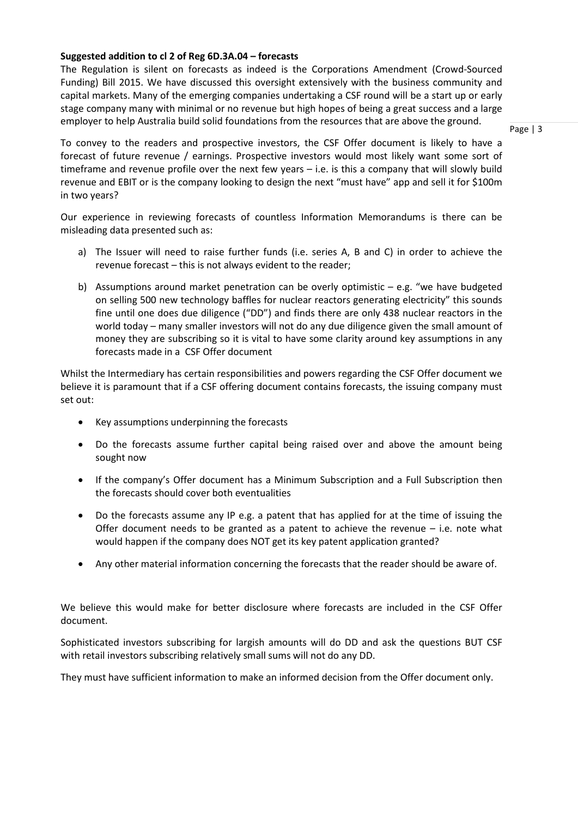## **Suggested addition to cl 2 of Reg 6D.3A.04 – forecasts**

The Regulation is silent on forecasts as indeed is the Corporations Amendment (Crowd-Sourced Funding) Bill 2015. We have discussed this oversight extensively with the business community and capital markets. Many of the emerging companies undertaking a CSF round will be a start up or early stage company many with minimal or no revenue but high hopes of being a great success and a large employer to help Australia build solid foundations from the resources that are above the ground.

Page | 3

To convey to the readers and prospective investors, the CSF Offer document is likely to have a forecast of future revenue / earnings. Prospective investors would most likely want some sort of timeframe and revenue profile over the next few years – i.e. is this a company that will slowly build revenue and EBIT or is the company looking to design the next "must have" app and sell it for \$100m in two years?

Our experience in reviewing forecasts of countless Information Memorandums is there can be misleading data presented such as:

- a) The Issuer will need to raise further funds (i.e. series A, B and C) in order to achieve the revenue forecast – this is not always evident to the reader;
- b) Assumptions around market penetration can be overly optimistic  $-$  e.g. "we have budgeted on selling 500 new technology baffles for nuclear reactors generating electricity" this sounds fine until one does due diligence ("DD") and finds there are only 438 nuclear reactors in the world today – many smaller investors will not do any due diligence given the small amount of money they are subscribing so it is vital to have some clarity around key assumptions in any forecasts made in a CSF Offer document

Whilst the Intermediary has certain responsibilities and powers regarding the CSF Offer document we believe it is paramount that if a CSF offering document contains forecasts, the issuing company must set out:

- Key assumptions underpinning the forecasts
- Do the forecasts assume further capital being raised over and above the amount being sought now
- If the company's Offer document has a Minimum Subscription and a Full Subscription then the forecasts should cover both eventualities
- Do the forecasts assume any IP e.g. a patent that has applied for at the time of issuing the Offer document needs to be granted as a patent to achieve the revenue – i.e. note what would happen if the company does NOT get its key patent application granted?
- Any other material information concerning the forecasts that the reader should be aware of.

We believe this would make for better disclosure where forecasts are included in the CSF Offer document.

Sophisticated investors subscribing for largish amounts will do DD and ask the questions BUT CSF with retail investors subscribing relatively small sums will not do any DD.

They must have sufficient information to make an informed decision from the Offer document only.